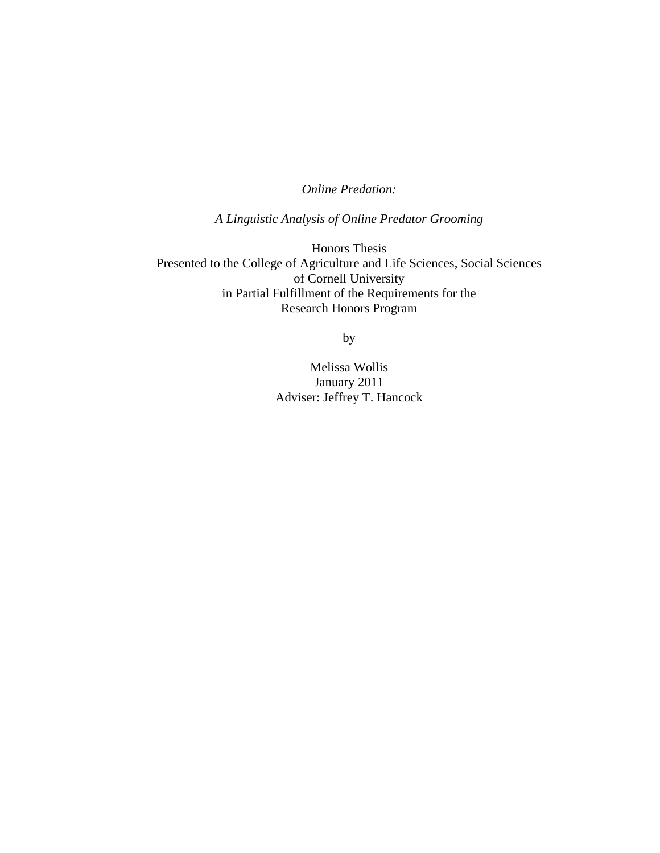# *Online Predation:*

*A Linguistic Analysis of Online Predator Grooming* 

Honors Thesis Presented to the College of Agriculture and Life Sciences, Social Sciences of Cornell University in Partial Fulfillment of the Requirements for the Research Honors Program

by

Melissa Wollis January 2011 Adviser: Jeffrey T. Hancock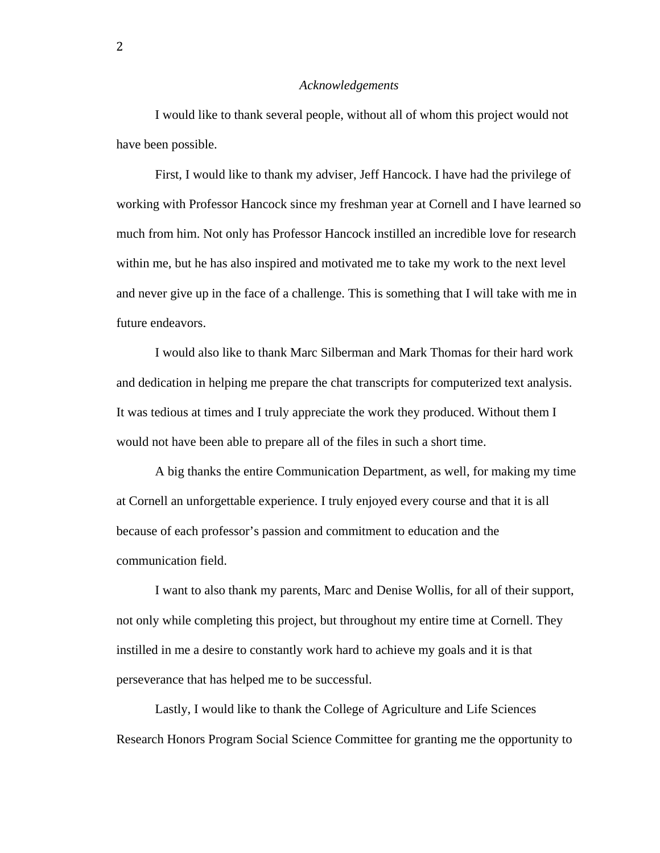#### *Acknowledgements*

 I would like to thank several people, without all of whom this project would not have been possible.

 First, I would like to thank my adviser, Jeff Hancock. I have had the privilege of working with Professor Hancock since my freshman year at Cornell and I have learned so much from him. Not only has Professor Hancock instilled an incredible love for research within me, but he has also inspired and motivated me to take my work to the next level and never give up in the face of a challenge. This is something that I will take with me in future endeavors.

 I would also like to thank Marc Silberman and Mark Thomas for their hard work and dedication in helping me prepare the chat transcripts for computerized text analysis. It was tedious at times and I truly appreciate the work they produced. Without them I would not have been able to prepare all of the files in such a short time.

 A big thanks the entire Communication Department, as well, for making my time at Cornell an unforgettable experience. I truly enjoyed every course and that it is all because of each professor's passion and commitment to education and the communication field.

 I want to also thank my parents, Marc and Denise Wollis, for all of their support, not only while completing this project, but throughout my entire time at Cornell. They instilled in me a desire to constantly work hard to achieve my goals and it is that perseverance that has helped me to be successful.

 Lastly, I would like to thank the College of Agriculture and Life Sciences Research Honors Program Social Science Committee for granting me the opportunity to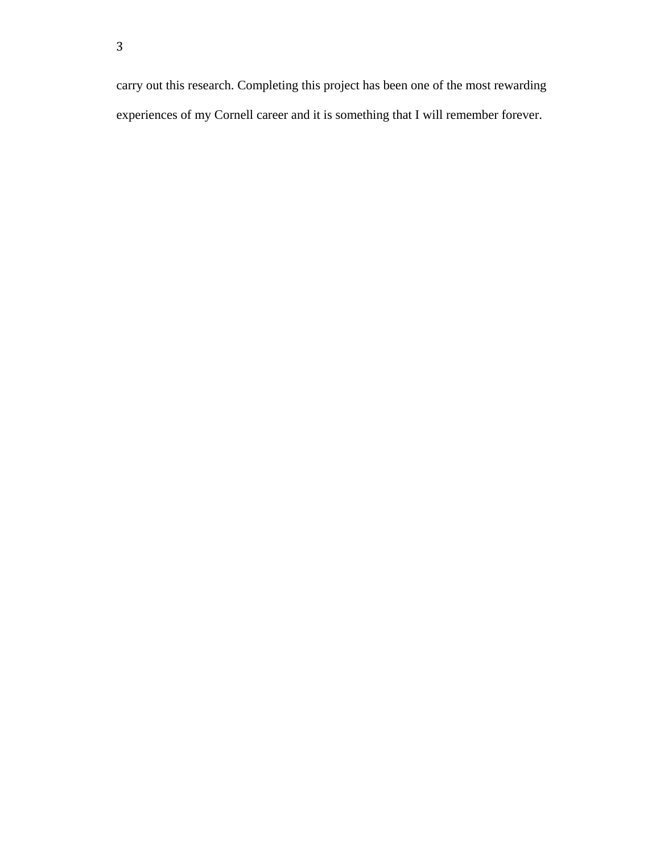carry out this research. Completing this project has been one of the most rewarding experiences of my Cornell career and it is something that I will remember forever.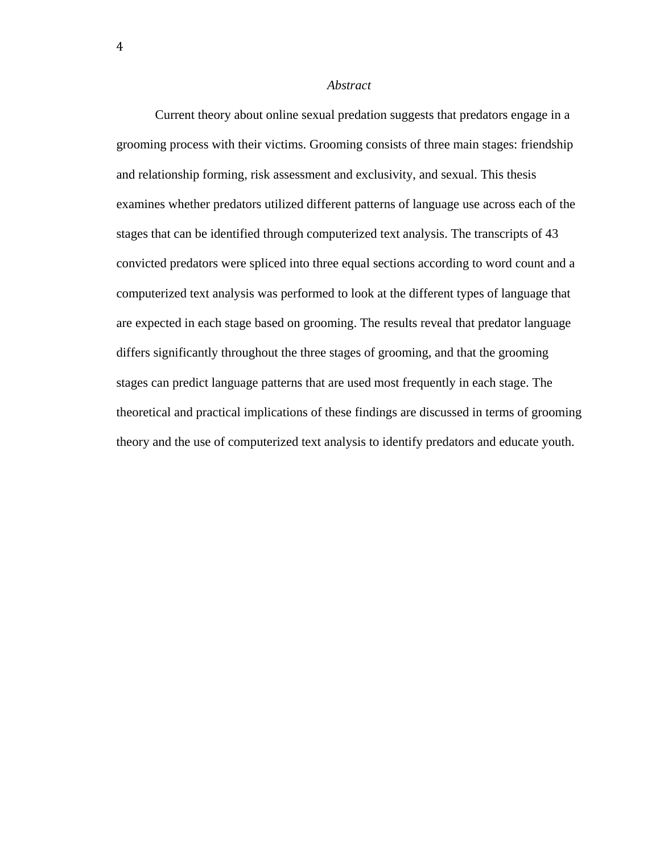### *Abstract*

Current theory about online sexual predation suggests that predators engage in a grooming process with their victims. Grooming consists of three main stages: friendship and relationship forming, risk assessment and exclusivity, and sexual. This thesis examines whether predators utilized different patterns of language use across each of the stages that can be identified through computerized text analysis. The transcripts of 43 convicted predators were spliced into three equal sections according to word count and a computerized text analysis was performed to look at the different types of language that are expected in each stage based on grooming. The results reveal that predator language differs significantly throughout the three stages of grooming, and that the grooming stages can predict language patterns that are used most frequently in each stage. The theoretical and practical implications of these findings are discussed in terms of grooming theory and the use of computerized text analysis to identify predators and educate youth.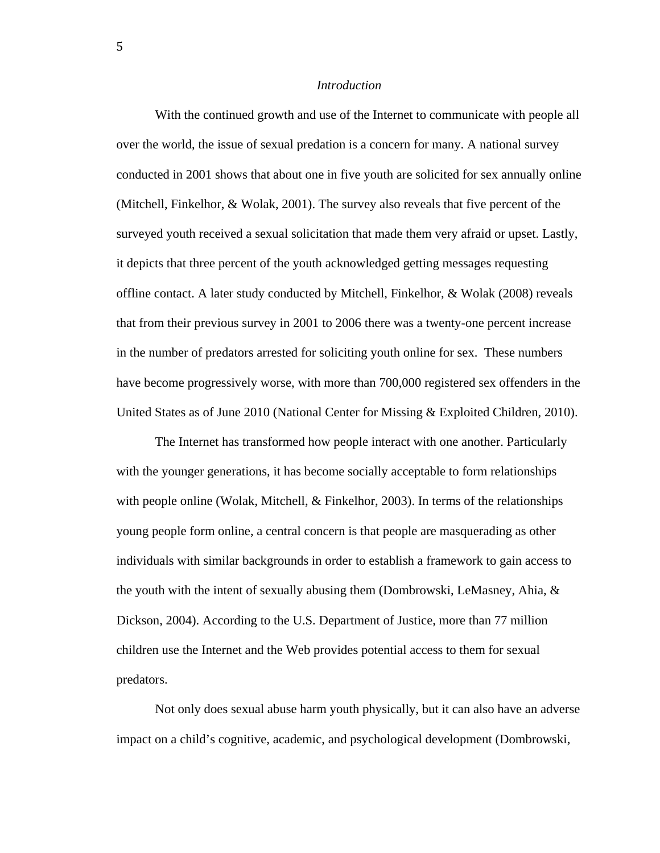### *Introduction*

With the continued growth and use of the Internet to communicate with people all over the world, the issue of sexual predation is a concern for many. A national survey conducted in 2001 shows that about one in five youth are solicited for sex annually online (Mitchell, Finkelhor, & Wolak, 2001). The survey also reveals that five percent of the surveyed youth received a sexual solicitation that made them very afraid or upset. Lastly, it depicts that three percent of the youth acknowledged getting messages requesting offline contact. A later study conducted by Mitchell, Finkelhor, & Wolak (2008) reveals that from their previous survey in 2001 to 2006 there was a twenty-one percent increase in the number of predators arrested for soliciting youth online for sex. These numbers have become progressively worse, with more than 700,000 registered sex offenders in the United States as of June 2010 (National Center for Missing & Exploited Children, 2010).

 The Internet has transformed how people interact with one another. Particularly with the younger generations, it has become socially acceptable to form relationships with people online (Wolak, Mitchell, & Finkelhor, 2003). In terms of the relationships young people form online, a central concern is that people are masquerading as other individuals with similar backgrounds in order to establish a framework to gain access to the youth with the intent of sexually abusing them (Dombrowski, LeMasney, Ahia,  $\&$ Dickson, 2004). According to the U.S. Department of Justice, more than 77 million children use the Internet and the Web provides potential access to them for sexual predators.

 Not only does sexual abuse harm youth physically, but it can also have an adverse impact on a child's cognitive, academic, and psychological development (Dombrowski,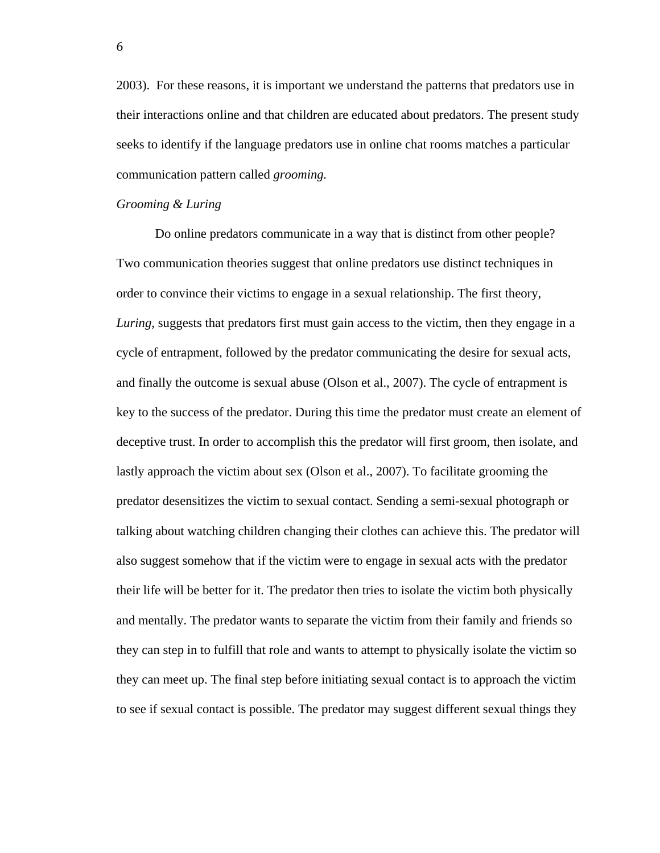2003). For these reasons, it is important we understand the patterns that predators use in their interactions online and that children are educated about predators. The present study seeks to identify if the language predators use in online chat rooms matches a particular communication pattern called *grooming.* 

### *Grooming & Luring*

Do online predators communicate in a way that is distinct from other people? Two communication theories suggest that online predators use distinct techniques in order to convince their victims to engage in a sexual relationship. The first theory, *Luring*, suggests that predators first must gain access to the victim, then they engage in a cycle of entrapment, followed by the predator communicating the desire for sexual acts, and finally the outcome is sexual abuse (Olson et al., 2007). The cycle of entrapment is key to the success of the predator. During this time the predator must create an element of deceptive trust. In order to accomplish this the predator will first groom, then isolate, and lastly approach the victim about sex (Olson et al., 2007). To facilitate grooming the predator desensitizes the victim to sexual contact. Sending a semi-sexual photograph or talking about watching children changing their clothes can achieve this. The predator will also suggest somehow that if the victim were to engage in sexual acts with the predator their life will be better for it. The predator then tries to isolate the victim both physically and mentally. The predator wants to separate the victim from their family and friends so they can step in to fulfill that role and wants to attempt to physically isolate the victim so they can meet up. The final step before initiating sexual contact is to approach the victim to see if sexual contact is possible. The predator may suggest different sexual things they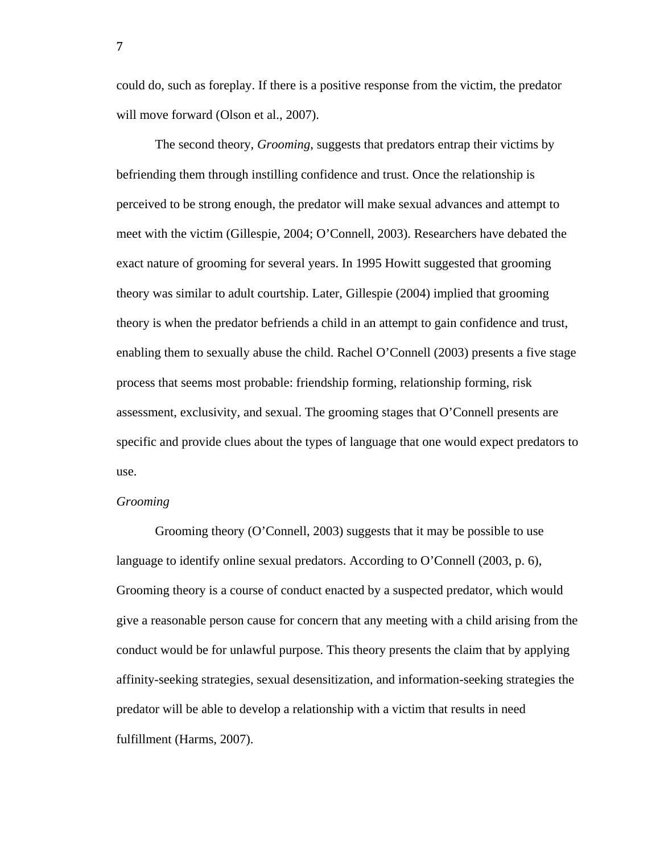could do, such as foreplay. If there is a positive response from the victim, the predator will move forward (Olson et al., 2007).

The second theory, *Grooming*, suggests that predators entrap their victims by befriending them through instilling confidence and trust. Once the relationship is perceived to be strong enough, the predator will make sexual advances and attempt to meet with the victim (Gillespie, 2004; O'Connell, 2003). Researchers have debated the exact nature of grooming for several years. In 1995 Howitt suggested that grooming theory was similar to adult courtship. Later, Gillespie (2004) implied that grooming theory is when the predator befriends a child in an attempt to gain confidence and trust, enabling them to sexually abuse the child. Rachel O'Connell (2003) presents a five stage process that seems most probable: friendship forming, relationship forming, risk assessment, exclusivity, and sexual. The grooming stages that O'Connell presents are specific and provide clues about the types of language that one would expect predators to use.

## *Grooming*

 Grooming theory (O'Connell, 2003) suggests that it may be possible to use language to identify online sexual predators. According to O'Connell (2003, p. 6), Grooming theory is a course of conduct enacted by a suspected predator, which would give a reasonable person cause for concern that any meeting with a child arising from the conduct would be for unlawful purpose. This theory presents the claim that by applying affinity-seeking strategies, sexual desensitization, and information-seeking strategies the predator will be able to develop a relationship with a victim that results in need fulfillment (Harms, 2007).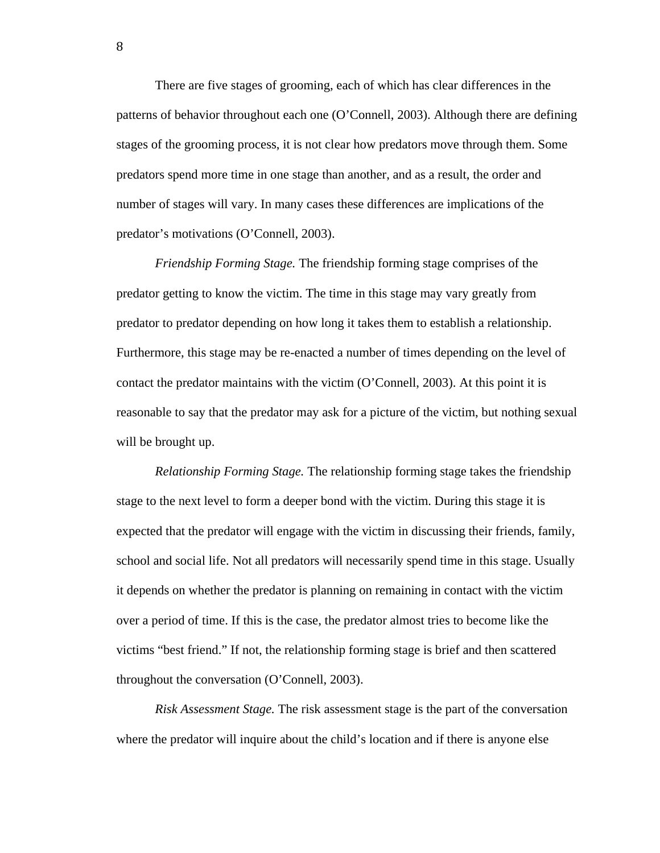There are five stages of grooming, each of which has clear differences in the patterns of behavior throughout each one (O'Connell, 2003). Although there are defining stages of the grooming process, it is not clear how predators move through them. Some predators spend more time in one stage than another, and as a result, the order and number of stages will vary. In many cases these differences are implications of the predator's motivations (O'Connell, 2003).

*Friendship Forming Stage.* The friendship forming stage comprises of the predator getting to know the victim. The time in this stage may vary greatly from predator to predator depending on how long it takes them to establish a relationship. Furthermore, this stage may be re-enacted a number of times depending on the level of contact the predator maintains with the victim (O'Connell, 2003). At this point it is reasonable to say that the predator may ask for a picture of the victim, but nothing sexual will be brought up.

*Relationship Forming Stage.* The relationship forming stage takes the friendship stage to the next level to form a deeper bond with the victim. During this stage it is expected that the predator will engage with the victim in discussing their friends, family, school and social life. Not all predators will necessarily spend time in this stage. Usually it depends on whether the predator is planning on remaining in contact with the victim over a period of time. If this is the case, the predator almost tries to become like the victims "best friend." If not, the relationship forming stage is brief and then scattered throughout the conversation (O'Connell, 2003).

*Risk Assessment Stage.* The risk assessment stage is the part of the conversation where the predator will inquire about the child's location and if there is anyone else

8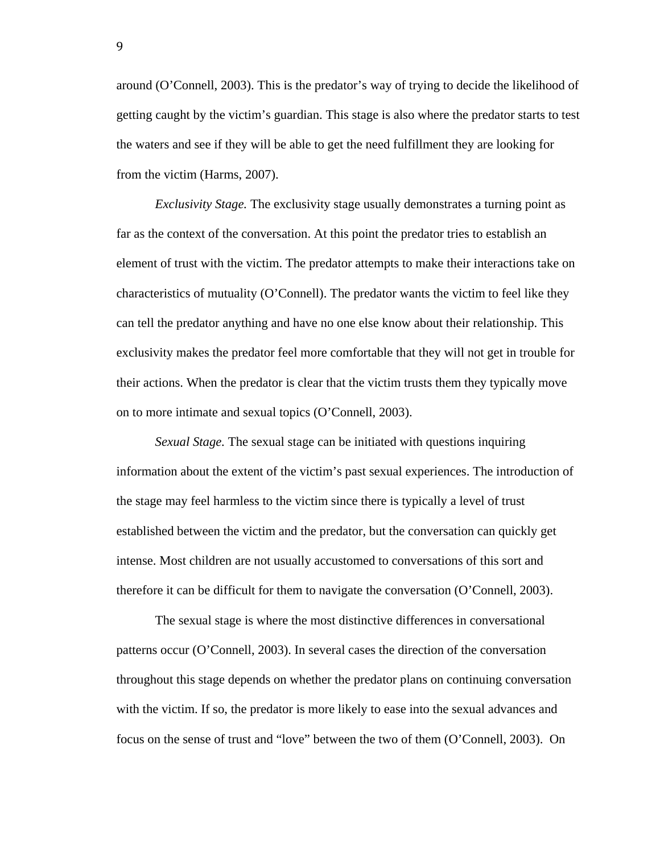around (O'Connell, 2003). This is the predator's way of trying to decide the likelihood of getting caught by the victim's guardian. This stage is also where the predator starts to test the waters and see if they will be able to get the need fulfillment they are looking for from the victim (Harms, 2007).

*Exclusivity Stage.* The exclusivity stage usually demonstrates a turning point as far as the context of the conversation. At this point the predator tries to establish an element of trust with the victim. The predator attempts to make their interactions take on characteristics of mutuality (O'Connell). The predator wants the victim to feel like they can tell the predator anything and have no one else know about their relationship. This exclusivity makes the predator feel more comfortable that they will not get in trouble for their actions. When the predator is clear that the victim trusts them they typically move on to more intimate and sexual topics (O'Connell, 2003).

*Sexual Stage.* The sexual stage can be initiated with questions inquiring information about the extent of the victim's past sexual experiences. The introduction of the stage may feel harmless to the victim since there is typically a level of trust established between the victim and the predator, but the conversation can quickly get intense. Most children are not usually accustomed to conversations of this sort and therefore it can be difficult for them to navigate the conversation (O'Connell, 2003).

 The sexual stage is where the most distinctive differences in conversational patterns occur (O'Connell, 2003). In several cases the direction of the conversation throughout this stage depends on whether the predator plans on continuing conversation with the victim. If so, the predator is more likely to ease into the sexual advances and focus on the sense of trust and "love" between the two of them (O'Connell, 2003). On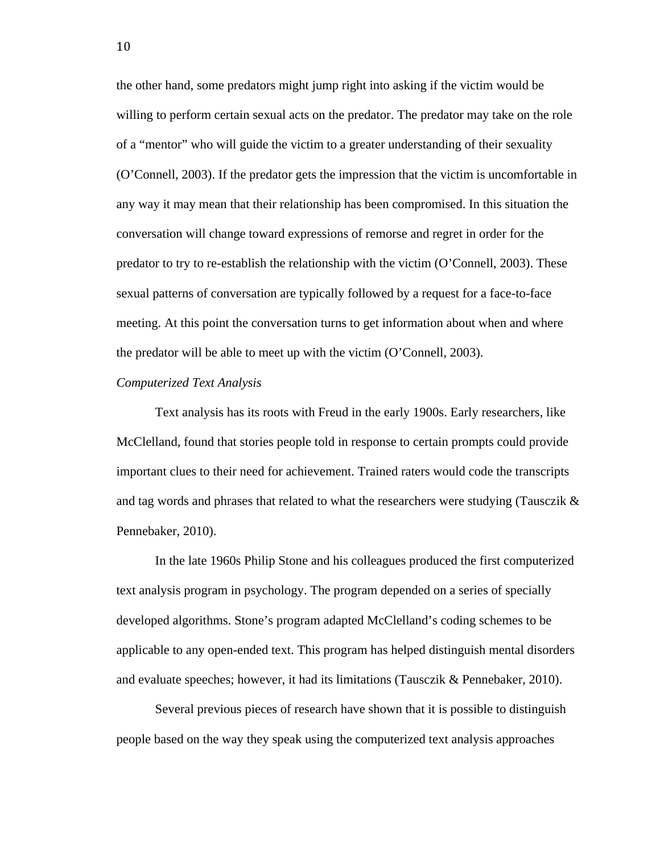the other hand, some predators might jump right into asking if the victim would be willing to perform certain sexual acts on the predator. The predator may take on the role of a "mentor" who will guide the victim to a greater understanding of their sexuality (O'Connell, 2003). If the predator gets the impression that the victim is uncomfortable in any way it may mean that their relationship has been compromised. In this situation the conversation will change toward expressions of remorse and regret in order for the predator to try to re-establish the relationship with the victim (O'Connell, 2003). These sexual patterns of conversation are typically followed by a request for a face-to-face meeting. At this point the conversation turns to get information about when and where the predator will be able to meet up with the victim (O'Connell, 2003).

### *Computerized Text Analysis*

Text analysis has its roots with Freud in the early 1900s. Early researchers, like McClelland, found that stories people told in response to certain prompts could provide important clues to their need for achievement. Trained raters would code the transcripts and tag words and phrases that related to what the researchers were studying (Tausczik & Pennebaker, 2010).

In the late 1960s Philip Stone and his colleagues produced the first computerized text analysis program in psychology. The program depended on a series of specially developed algorithms. Stone's program adapted McClelland's coding schemes to be applicable to any open-ended text. This program has helped distinguish mental disorders and evaluate speeches; however, it had its limitations (Tausczik & Pennebaker, 2010).

Several previous pieces of research have shown that it is possible to distinguish people based on the way they speak using the computerized text analysis approaches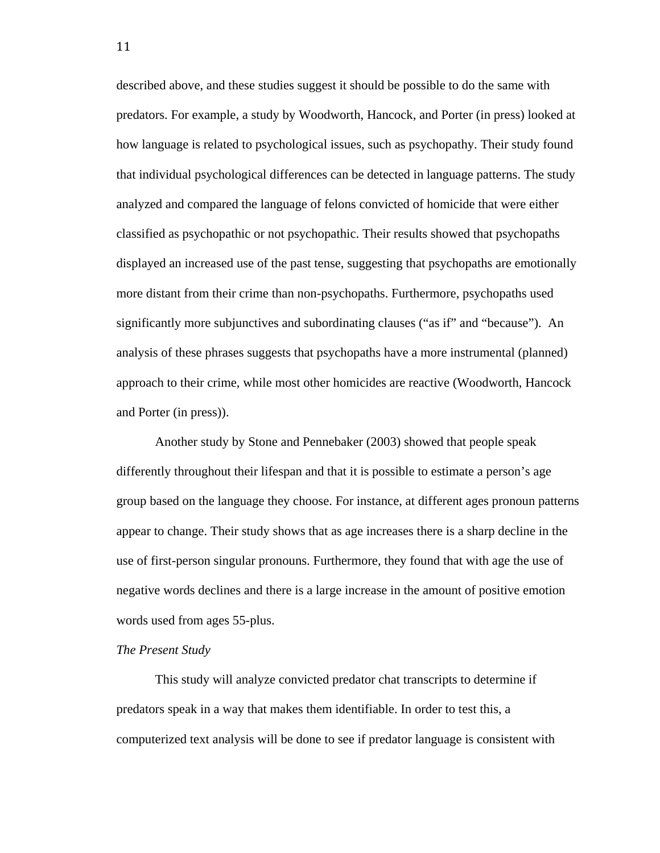described above, and these studies suggest it should be possible to do the same with predators. For example, a study by Woodworth, Hancock, and Porter (in press) looked at how language is related to psychological issues, such as psychopathy. Their study found that individual psychological differences can be detected in language patterns. The study analyzed and compared the language of felons convicted of homicide that were either classified as psychopathic or not psychopathic. Their results showed that psychopaths displayed an increased use of the past tense, suggesting that psychopaths are emotionally more distant from their crime than non-psychopaths. Furthermore, psychopaths used significantly more subjunctives and subordinating clauses ("as if" and "because"). An analysis of these phrases suggests that psychopaths have a more instrumental (planned) approach to their crime, while most other homicides are reactive (Woodworth, Hancock and Porter (in press)).

Another study by Stone and Pennebaker (2003) showed that people speak differently throughout their lifespan and that it is possible to estimate a person's age group based on the language they choose. For instance, at different ages pronoun patterns appear to change. Their study shows that as age increases there is a sharp decline in the use of first-person singular pronouns. Furthermore, they found that with age the use of negative words declines and there is a large increase in the amount of positive emotion words used from ages 55-plus.

#### *The Present Study*

 This study will analyze convicted predator chat transcripts to determine if predators speak in a way that makes them identifiable. In order to test this, a computerized text analysis will be done to see if predator language is consistent with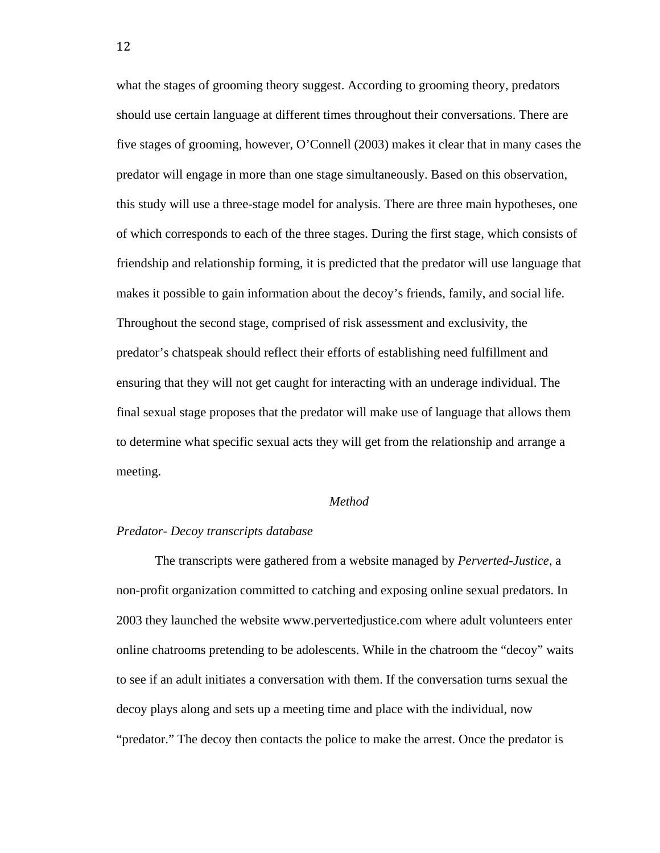what the stages of grooming theory suggest. According to grooming theory, predators should use certain language at different times throughout their conversations. There are five stages of grooming, however, O'Connell (2003) makes it clear that in many cases the predator will engage in more than one stage simultaneously. Based on this observation, this study will use a three-stage model for analysis. There are three main hypotheses, one of which corresponds to each of the three stages. During the first stage, which consists of friendship and relationship forming, it is predicted that the predator will use language that makes it possible to gain information about the decoy's friends, family, and social life. Throughout the second stage, comprised of risk assessment and exclusivity, the predator's chatspeak should reflect their efforts of establishing need fulfillment and ensuring that they will not get caught for interacting with an underage individual. The final sexual stage proposes that the predator will make use of language that allows them to determine what specific sexual acts they will get from the relationship and arrange a meeting.

#### *Method*

## *Predator- Decoy transcripts database*

 The transcripts were gathered from a website managed by *Perverted-Justice*, a non-profit organization committed to catching and exposing online sexual predators. In 2003 they launched the website www.pervertedjustice.com where adult volunteers enter online chatrooms pretending to be adolescents. While in the chatroom the "decoy" waits to see if an adult initiates a conversation with them. If the conversation turns sexual the decoy plays along and sets up a meeting time and place with the individual, now "predator." The decoy then contacts the police to make the arrest. Once the predator is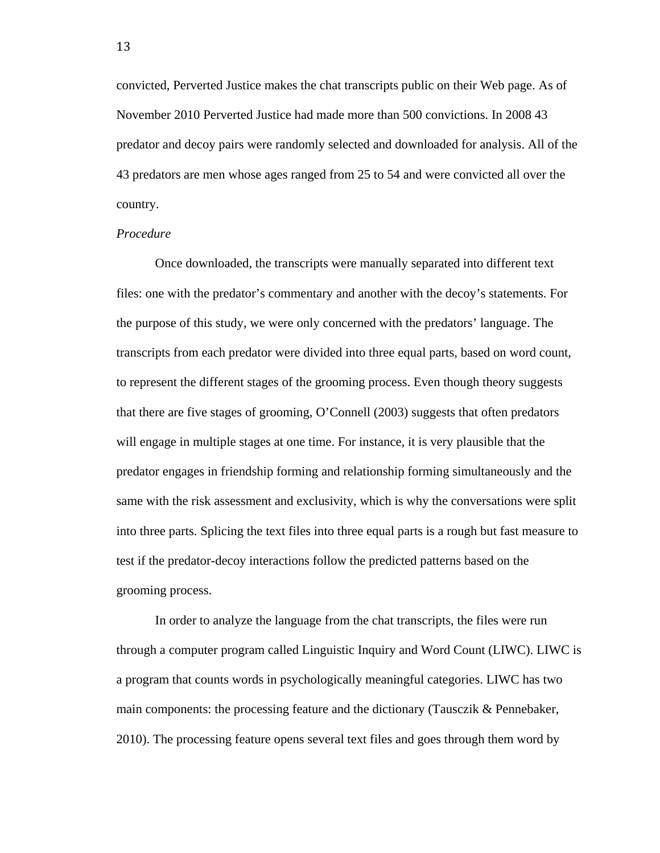convicted, Perverted Justice makes the chat transcripts public on their Web page. As of November 2010 Perverted Justice had made more than 500 convictions. In 2008 43 predator and decoy pairs were randomly selected and downloaded for analysis. All of the 43 predators are men whose ages ranged from 25 to 54 and were convicted all over the country.

### *Procedure*

Once downloaded, the transcripts were manually separated into different text files: one with the predator's commentary and another with the decoy's statements. For the purpose of this study, we were only concerned with the predators' language. The transcripts from each predator were divided into three equal parts, based on word count, to represent the different stages of the grooming process. Even though theory suggests that there are five stages of grooming, O'Connell (2003) suggests that often predators will engage in multiple stages at one time. For instance, it is very plausible that the predator engages in friendship forming and relationship forming simultaneously and the same with the risk assessment and exclusivity, which is why the conversations were split into three parts. Splicing the text files into three equal parts is a rough but fast measure to test if the predator-decoy interactions follow the predicted patterns based on the grooming process.

In order to analyze the language from the chat transcripts, the files were run through a computer program called Linguistic Inquiry and Word Count (LIWC). LIWC is a program that counts words in psychologically meaningful categories. LIWC has two main components: the processing feature and the dictionary (Tausczik & Pennebaker, 2010). The processing feature opens several text files and goes through them word by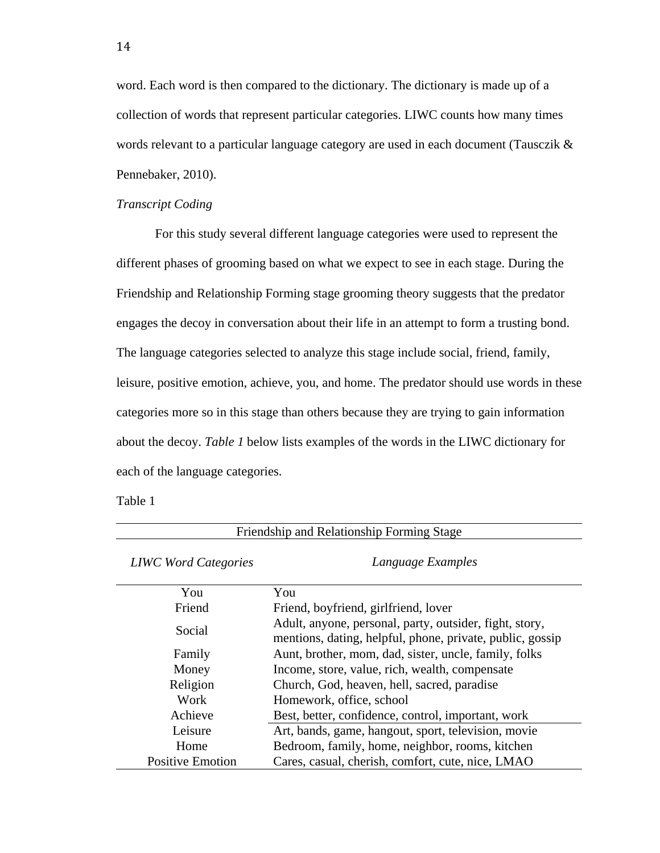word. Each word is then compared to the dictionary. The dictionary is made up of a collection of words that represent particular categories. LIWC counts how many times words relevant to a particular language category are used in each document (Tausczik & Pennebaker, 2010).

### *Transcript Coding*

For this study several different language categories were used to represent the different phases of grooming based on what we expect to see in each stage. During the Friendship and Relationship Forming stage grooming theory suggests that the predator engages the decoy in conversation about their life in an attempt to form a trusting bond. The language categories selected to analyze this stage include social, friend, family, leisure, positive emotion, achieve, you, and home. The predator should use words in these categories more so in this stage than others because they are trying to gain information about the decoy. *Table 1* below lists examples of the words in the LIWC dictionary for each of the language categories.

Table 1

| Friendship and Relationship Forming Stage |                                                                                                                      |  |  |  |
|-------------------------------------------|----------------------------------------------------------------------------------------------------------------------|--|--|--|
| <b>LIWC</b> Word Categories               | Language Examples                                                                                                    |  |  |  |
| You                                       | You                                                                                                                  |  |  |  |
| Friend                                    | Friend, boyfriend, girlfriend, lover                                                                                 |  |  |  |
| Social                                    | Adult, anyone, personal, party, outsider, fight, story,<br>mentions, dating, helpful, phone, private, public, gossip |  |  |  |
| Family                                    | Aunt, brother, mom, dad, sister, uncle, family, folks                                                                |  |  |  |
| Money                                     | Income, store, value, rich, wealth, compensate                                                                       |  |  |  |
| Religion                                  | Church, God, heaven, hell, sacred, paradise                                                                          |  |  |  |
| Work                                      | Homework, office, school                                                                                             |  |  |  |
| Achieve                                   | Best, better, confidence, control, important, work                                                                   |  |  |  |
| Leisure                                   | Art, bands, game, hangout, sport, television, movie                                                                  |  |  |  |
| Home                                      | Bedroom, family, home, neighbor, rooms, kitchen                                                                      |  |  |  |
| <b>Positive Emotion</b>                   | Cares, casual, cherish, comfort, cute, nice, LMAO                                                                    |  |  |  |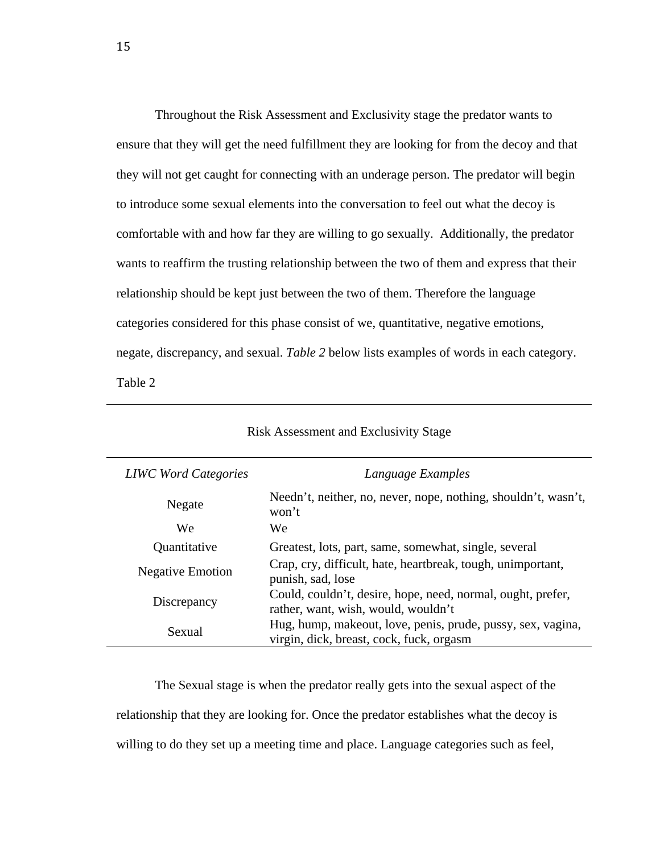Throughout the Risk Assessment and Exclusivity stage the predator wants to ensure that they will get the need fulfillment they are looking for from the decoy and that they will not get caught for connecting with an underage person. The predator will begin to introduce some sexual elements into the conversation to feel out what the decoy is comfortable with and how far they are willing to go sexually. Additionally, the predator wants to reaffirm the trusting relationship between the two of them and express that their relationship should be kept just between the two of them. Therefore the language categories considered for this phase consist of we, quantitative, negative emotions, negate, discrepancy, and sexual. *Table 2* below lists examples of words in each category. Table 2

| <b>LIWC</b> Word Categories | Language Examples                                                                                       |  |  |
|-----------------------------|---------------------------------------------------------------------------------------------------------|--|--|
| Negate                      | Needn't, neither, no, never, nope, nothing, shouldn't, wasn't,<br>won't                                 |  |  |
| We                          | We                                                                                                      |  |  |
| Quantitative                | Greatest, lots, part, same, somewhat, single, several                                                   |  |  |
| <b>Negative Emotion</b>     | Crap, cry, difficult, hate, heartbreak, tough, unimportant,<br>punish, sad, lose                        |  |  |
| Discrepancy                 | Could, couldn't, desire, hope, need, normal, ought, prefer,<br>rather, want, wish, would, wouldn't      |  |  |
| Sexual                      | Hug, hump, makeout, love, penis, prude, pussy, sex, vagina,<br>virgin, dick, breast, cock, fuck, orgasm |  |  |

### Risk Assessment and Exclusivity Stage

The Sexual stage is when the predator really gets into the sexual aspect of the relationship that they are looking for. Once the predator establishes what the decoy is willing to do they set up a meeting time and place. Language categories such as feel,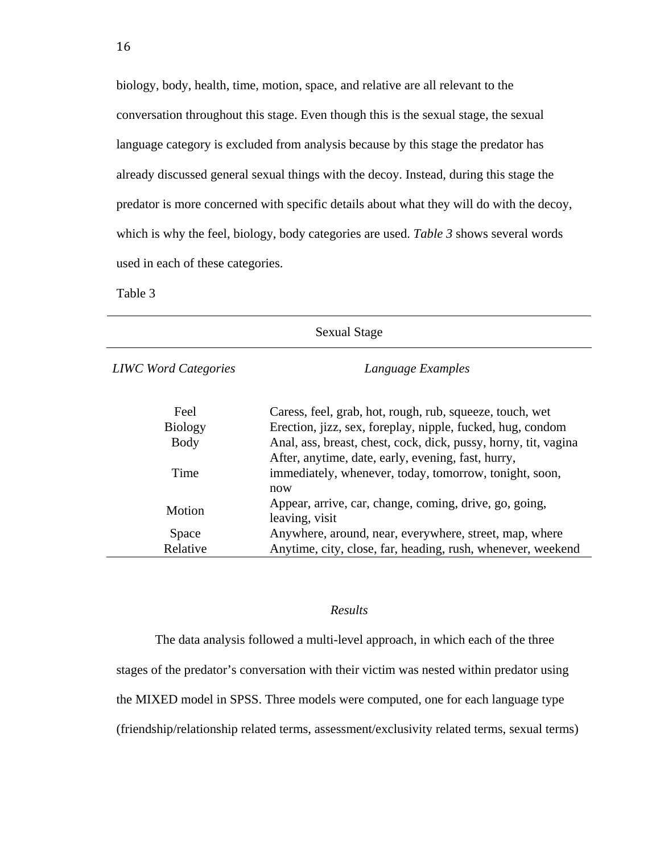biology, body, health, time, motion, space, and relative are all relevant to the conversation throughout this stage. Even though this is the sexual stage, the sexual language category is excluded from analysis because by this stage the predator has already discussed general sexual things with the decoy. Instead, during this stage the predator is more concerned with specific details about what they will do with the decoy, which is why the feel, biology, body categories are used. *Table 3* shows several words used in each of these categories.

Table 3

| <b>Sexual Stage</b>         |                                                                                                                     |  |  |  |
|-----------------------------|---------------------------------------------------------------------------------------------------------------------|--|--|--|
| <b>LIWC</b> Word Categories | Language Examples                                                                                                   |  |  |  |
| Feel                        | Caress, feel, grab, hot, rough, rub, squeeze, touch, wet                                                            |  |  |  |
| <b>Biology</b>              | Erection, jizz, sex, foreplay, nipple, fucked, hug, condom                                                          |  |  |  |
| <b>Body</b>                 | Anal, ass, breast, chest, cock, dick, pussy, horny, tit, vagina                                                     |  |  |  |
| Time                        | After, anytime, date, early, evening, fast, hurry,<br>immediately, whenever, today, tomorrow, tonight, soon,<br>now |  |  |  |
| Motion                      | Appear, arrive, car, change, coming, drive, go, going,<br>leaving, visit                                            |  |  |  |
| Space                       | Anywhere, around, near, everywhere, street, map, where                                                              |  |  |  |
| Relative                    | Anytime, city, close, far, heading, rush, whenever, weekend                                                         |  |  |  |
|                             |                                                                                                                     |  |  |  |

# *Results*

The data analysis followed a multi-level approach, in which each of the three

stages of the predator's conversation with their victim was nested within predator using

the MIXED model in SPSS. Three models were computed, one for each language type

(friendship/relationship related terms, assessment/exclusivity related terms, sexual terms)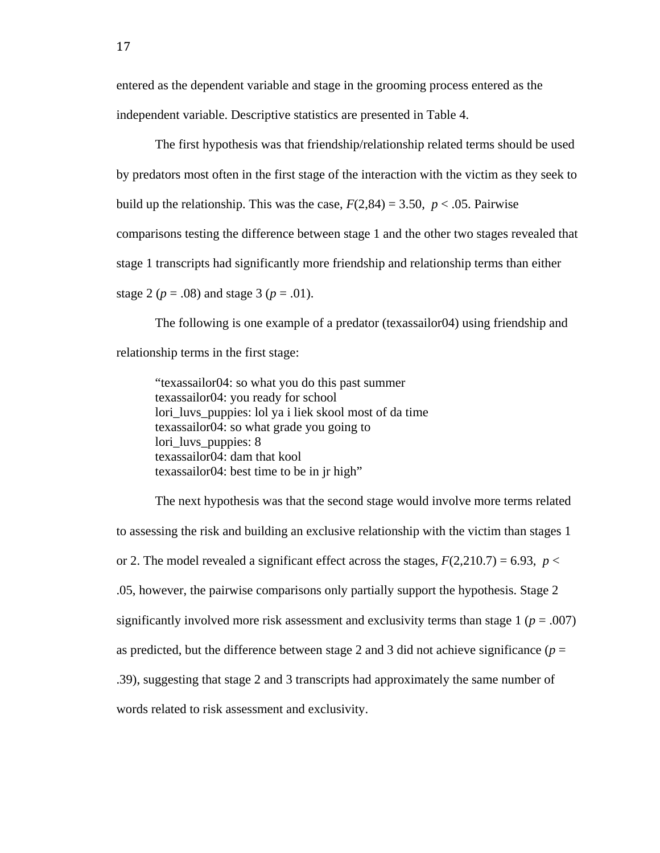entered as the dependent variable and stage in the grooming process entered as the independent variable. Descriptive statistics are presented in Table 4.

 The first hypothesis was that friendship/relationship related terms should be used by predators most often in the first stage of the interaction with the victim as they seek to build up the relationship. This was the case,  $F(2,84) = 3.50$ ,  $p < .05$ . Pairwise comparisons testing the difference between stage 1 and the other two stages revealed that stage 1 transcripts had significantly more friendship and relationship terms than either stage 2 ( $p = .08$ ) and stage 3 ( $p = .01$ ).

The following is one example of a predator (texassailor04) using friendship and relationship terms in the first stage:

"texassailor04: so what you do this past summer texassailor04: you ready for school lori\_luvs\_puppies: lol ya i liek skool most of da time texassailor04: so what grade you going to lori\_luvs\_puppies: 8 texassailor04: dam that kool texassailor04: best time to be in jr high"

 The next hypothesis was that the second stage would involve more terms related to assessing the risk and building an exclusive relationship with the victim than stages 1 or 2. The model revealed a significant effect across the stages,  $F(2,210.7) = 6.93$ ,  $p <$ .05, however, the pairwise comparisons only partially support the hypothesis. Stage 2 significantly involved more risk assessment and exclusivity terms than stage  $1 (p = .007)$ as predicted, but the difference between stage 2 and 3 did not achieve significance ( $p =$ .39), suggesting that stage 2 and 3 transcripts had approximately the same number of words related to risk assessment and exclusivity.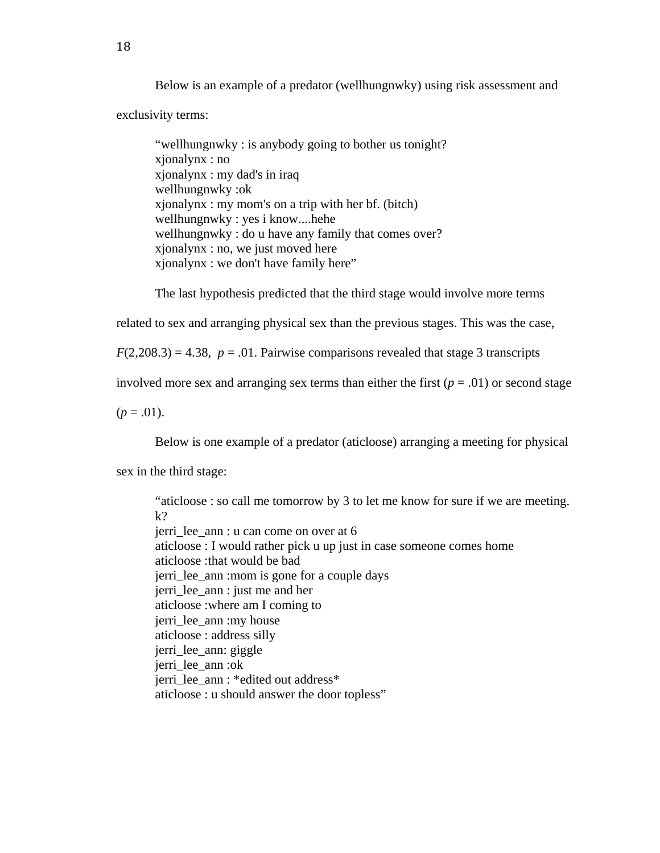Below is an example of a predator (wellhungnwky) using risk assessment and

exclusivity terms:

 "wellhungnwky : is anybody going to bother us tonight? xjonalynx : no xjonalynx : my dad's in iraq wellhungnwky :ok xjonalynx : my mom's on a trip with her bf. (bitch) wellhungnwky : yes i know....hehe wellhungnwky : do u have any family that comes over? xjonalynx : no, we just moved here xjonalynx : we don't have family here"

The last hypothesis predicted that the third stage would involve more terms

related to sex and arranging physical sex than the previous stages. This was the case,

 $F(2,208.3) = 4.38$ ,  $p = .01$ . Pairwise comparisons revealed that stage 3 transcripts

involved more sex and arranging sex terms than either the first  $(p = .01)$  or second stage

 $(p=.01)$ .

Below is one example of a predator (aticloose) arranging a meeting for physical

sex in the third stage:

"aticloose : so call me tomorrow by 3 to let me know for sure if we are meeting. k? jerri\_lee\_ann : u can come on over at 6 aticloose : I would rather pick u up just in case someone comes home aticloose :that would be bad jerri\_lee\_ann :mom is gone for a couple days jerri\_lee\_ann : just me and her aticloose :where am I coming to jerri\_lee\_ann :my house aticloose : address silly jerri\_lee\_ann: giggle jerri\_lee\_ann :ok jerri\_lee\_ann : \*edited out address\* aticloose : u should answer the door topless"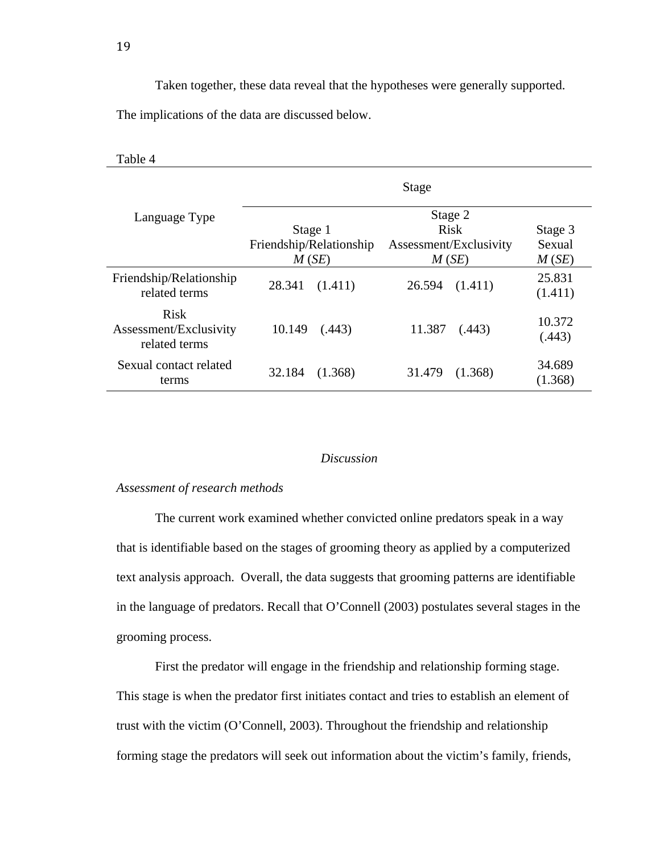Taken together, these data reveal that the hypotheses were generally supported.

The implications of the data are discussed below.

| Table 4                                                |                         |                        |                   |
|--------------------------------------------------------|-------------------------|------------------------|-------------------|
| Language Type                                          |                         | Stage                  |                   |
|                                                        |                         | Stage 2                |                   |
|                                                        | Stage 1                 | Risk                   | Stage 3           |
|                                                        | Friendship/Relationship | Assessment/Exclusivity | Sexual            |
|                                                        | M(SE)                   | M(SE)                  | M(SE)             |
| Friendship/Relationship<br>related terms               | 28.341<br>(1.411)       | 26.594<br>(1.411)      | 25.831<br>(1.411) |
| <b>Risk</b><br>Assessment/Exclusivity<br>related terms | 10.149<br>(.443)        | 11.387<br>(.443)       | 10.372<br>(.443)  |
| Sexual contact related<br>terms                        | 32.184<br>(1.368)       | 31.479<br>(1.368)      | 34.689<br>(1.368) |

## *Discussion*

# *Assessment of research methods*

The current work examined whether convicted online predators speak in a way that is identifiable based on the stages of grooming theory as applied by a computerized text analysis approach. Overall, the data suggests that grooming patterns are identifiable in the language of predators. Recall that O'Connell (2003) postulates several stages in the grooming process.

First the predator will engage in the friendship and relationship forming stage. This stage is when the predator first initiates contact and tries to establish an element of trust with the victim (O'Connell, 2003). Throughout the friendship and relationship forming stage the predators will seek out information about the victim's family, friends,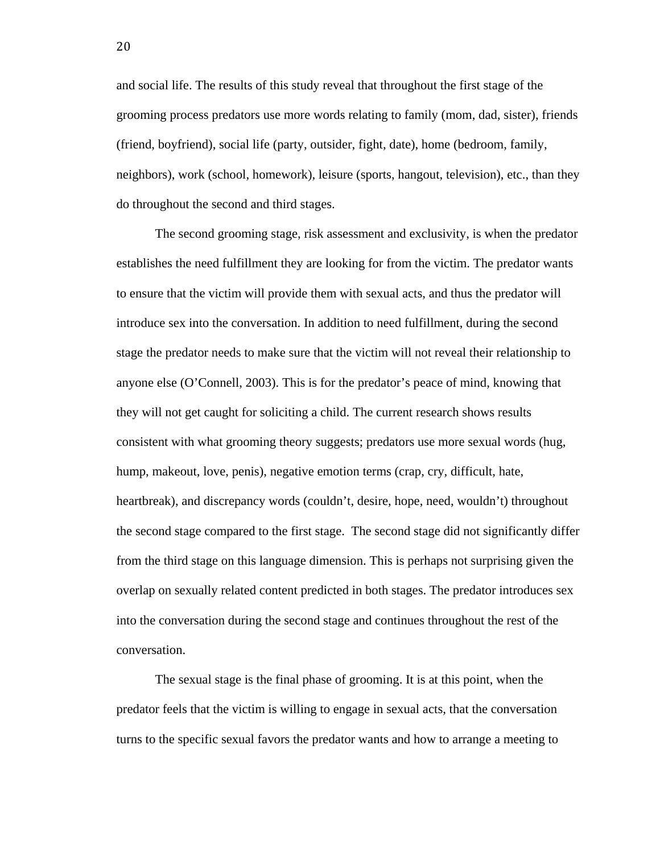and social life. The results of this study reveal that throughout the first stage of the grooming process predators use more words relating to family (mom, dad, sister), friends (friend, boyfriend), social life (party, outsider, fight, date), home (bedroom, family, neighbors), work (school, homework), leisure (sports, hangout, television), etc., than they do throughout the second and third stages.

The second grooming stage, risk assessment and exclusivity, is when the predator establishes the need fulfillment they are looking for from the victim. The predator wants to ensure that the victim will provide them with sexual acts, and thus the predator will introduce sex into the conversation. In addition to need fulfillment, during the second stage the predator needs to make sure that the victim will not reveal their relationship to anyone else (O'Connell, 2003). This is for the predator's peace of mind, knowing that they will not get caught for soliciting a child. The current research shows results consistent with what grooming theory suggests; predators use more sexual words (hug, hump, makeout, love, penis), negative emotion terms (crap, cry, difficult, hate, heartbreak), and discrepancy words (couldn't, desire, hope, need, wouldn't) throughout the second stage compared to the first stage. The second stage did not significantly differ from the third stage on this language dimension. This is perhaps not surprising given the overlap on sexually related content predicted in both stages. The predator introduces sex into the conversation during the second stage and continues throughout the rest of the conversation.

The sexual stage is the final phase of grooming. It is at this point, when the predator feels that the victim is willing to engage in sexual acts, that the conversation turns to the specific sexual favors the predator wants and how to arrange a meeting to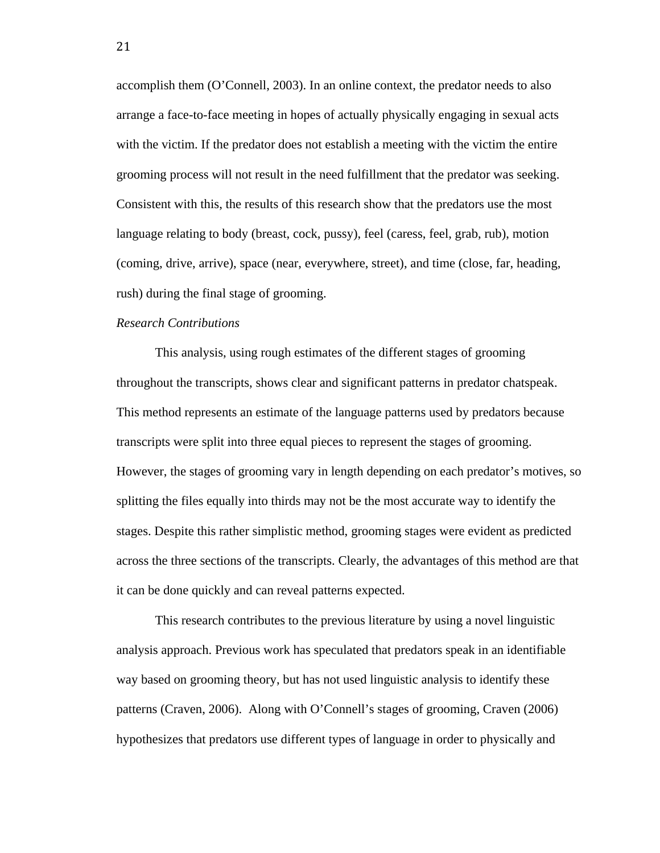accomplish them (O'Connell, 2003). In an online context, the predator needs to also arrange a face-to-face meeting in hopes of actually physically engaging in sexual acts with the victim. If the predator does not establish a meeting with the victim the entire grooming process will not result in the need fulfillment that the predator was seeking. Consistent with this, the results of this research show that the predators use the most language relating to body (breast, cock, pussy), feel (caress, feel, grab, rub), motion (coming, drive, arrive), space (near, everywhere, street), and time (close, far, heading, rush) during the final stage of grooming.

## *Research Contributions*

This analysis, using rough estimates of the different stages of grooming throughout the transcripts, shows clear and significant patterns in predator chatspeak. This method represents an estimate of the language patterns used by predators because transcripts were split into three equal pieces to represent the stages of grooming. However, the stages of grooming vary in length depending on each predator's motives, so splitting the files equally into thirds may not be the most accurate way to identify the stages. Despite this rather simplistic method, grooming stages were evident as predicted across the three sections of the transcripts. Clearly, the advantages of this method are that it can be done quickly and can reveal patterns expected.

This research contributes to the previous literature by using a novel linguistic analysis approach. Previous work has speculated that predators speak in an identifiable way based on grooming theory, but has not used linguistic analysis to identify these patterns (Craven, 2006). Along with O'Connell's stages of grooming, Craven (2006) hypothesizes that predators use different types of language in order to physically and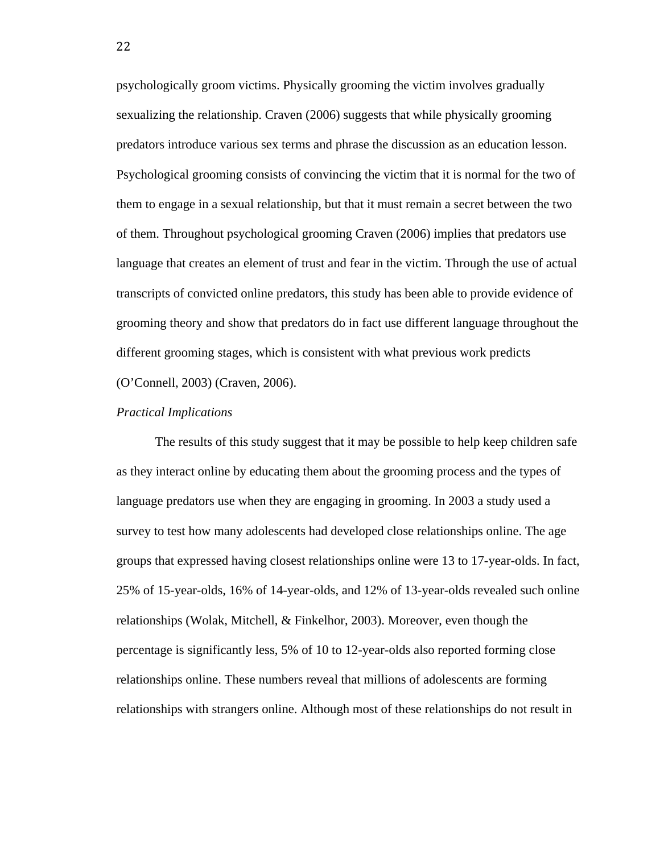psychologically groom victims. Physically grooming the victim involves gradually sexualizing the relationship. Craven (2006) suggests that while physically grooming predators introduce various sex terms and phrase the discussion as an education lesson. Psychological grooming consists of convincing the victim that it is normal for the two of them to engage in a sexual relationship, but that it must remain a secret between the two of them. Throughout psychological grooming Craven (2006) implies that predators use language that creates an element of trust and fear in the victim. Through the use of actual transcripts of convicted online predators, this study has been able to provide evidence of grooming theory and show that predators do in fact use different language throughout the different grooming stages, which is consistent with what previous work predicts (O'Connell, 2003) (Craven, 2006).

#### *Practical Implications*

 The results of this study suggest that it may be possible to help keep children safe as they interact online by educating them about the grooming process and the types of language predators use when they are engaging in grooming. In 2003 a study used a survey to test how many adolescents had developed close relationships online. The age groups that expressed having closest relationships online were 13 to 17-year-olds. In fact, 25% of 15-year-olds, 16% of 14-year-olds, and 12% of 13-year-olds revealed such online relationships (Wolak, Mitchell, & Finkelhor, 2003). Moreover, even though the percentage is significantly less, 5% of 10 to 12-year-olds also reported forming close relationships online. These numbers reveal that millions of adolescents are forming relationships with strangers online. Although most of these relationships do not result in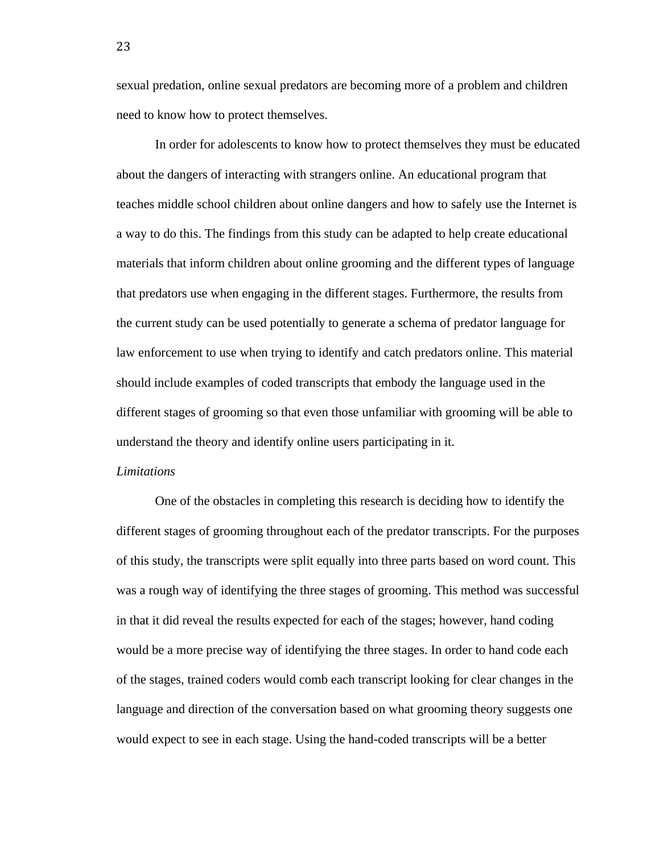sexual predation, online sexual predators are becoming more of a problem and children need to know how to protect themselves.

 In order for adolescents to know how to protect themselves they must be educated about the dangers of interacting with strangers online. An educational program that teaches middle school children about online dangers and how to safely use the Internet is a way to do this. The findings from this study can be adapted to help create educational materials that inform children about online grooming and the different types of language that predators use when engaging in the different stages. Furthermore, the results from the current study can be used potentially to generate a schema of predator language for law enforcement to use when trying to identify and catch predators online. This material should include examples of coded transcripts that embody the language used in the different stages of grooming so that even those unfamiliar with grooming will be able to understand the theory and identify online users participating in it.

#### *Limitations*

 One of the obstacles in completing this research is deciding how to identify the different stages of grooming throughout each of the predator transcripts. For the purposes of this study, the transcripts were split equally into three parts based on word count. This was a rough way of identifying the three stages of grooming. This method was successful in that it did reveal the results expected for each of the stages; however, hand coding would be a more precise way of identifying the three stages. In order to hand code each of the stages, trained coders would comb each transcript looking for clear changes in the language and direction of the conversation based on what grooming theory suggests one would expect to see in each stage. Using the hand-coded transcripts will be a better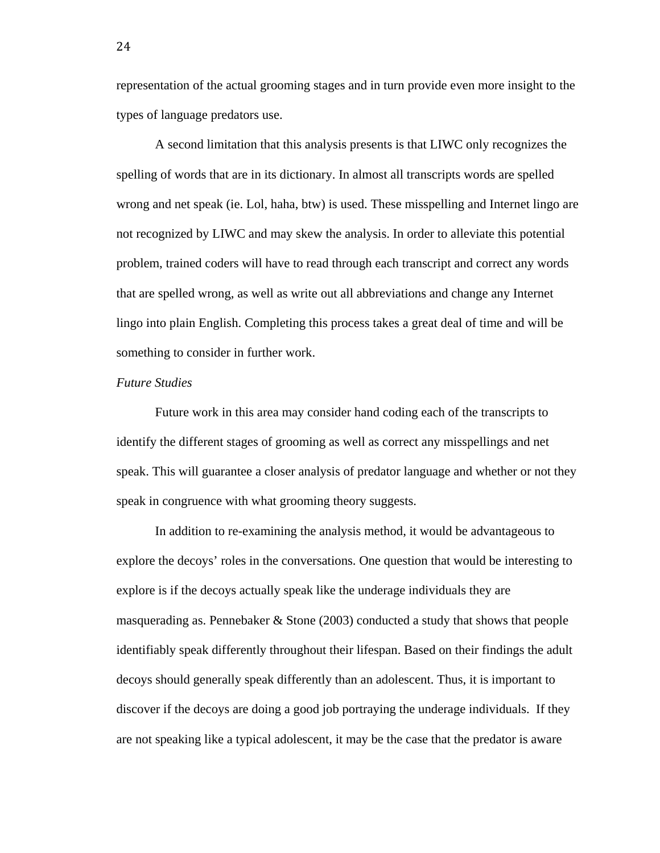representation of the actual grooming stages and in turn provide even more insight to the types of language predators use.

 A second limitation that this analysis presents is that LIWC only recognizes the spelling of words that are in its dictionary. In almost all transcripts words are spelled wrong and net speak (ie. Lol, haha, btw) is used. These misspelling and Internet lingo are not recognized by LIWC and may skew the analysis. In order to alleviate this potential problem, trained coders will have to read through each transcript and correct any words that are spelled wrong, as well as write out all abbreviations and change any Internet lingo into plain English. Completing this process takes a great deal of time and will be something to consider in further work.

### *Future Studies*

 Future work in this area may consider hand coding each of the transcripts to identify the different stages of grooming as well as correct any misspellings and net speak. This will guarantee a closer analysis of predator language and whether or not they speak in congruence with what grooming theory suggests.

 In addition to re-examining the analysis method, it would be advantageous to explore the decoys' roles in the conversations. One question that would be interesting to explore is if the decoys actually speak like the underage individuals they are masquerading as. Pennebaker & Stone (2003) conducted a study that shows that people identifiably speak differently throughout their lifespan. Based on their findings the adult decoys should generally speak differently than an adolescent. Thus, it is important to discover if the decoys are doing a good job portraying the underage individuals. If they are not speaking like a typical adolescent, it may be the case that the predator is aware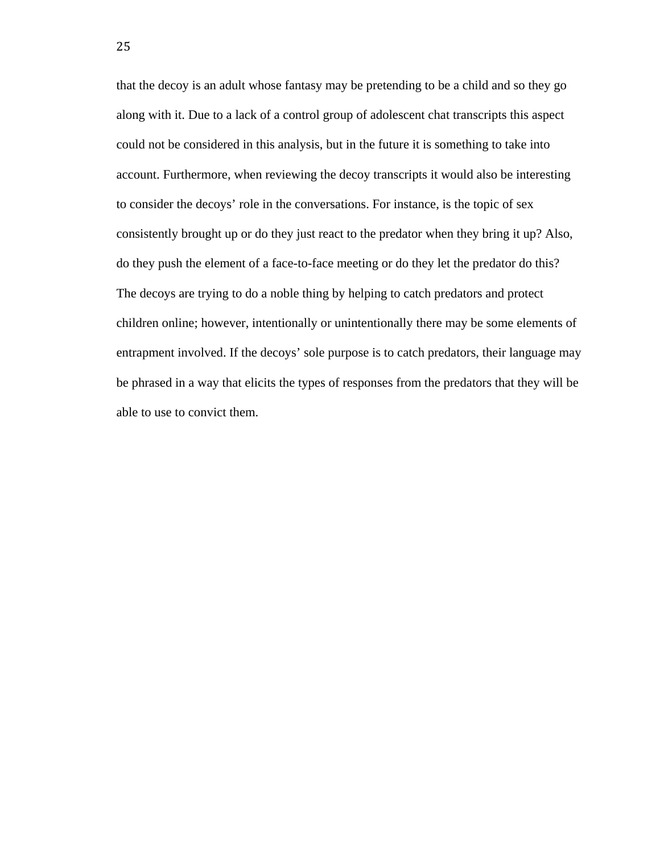that the decoy is an adult whose fantasy may be pretending to be a child and so they go along with it. Due to a lack of a control group of adolescent chat transcripts this aspect could not be considered in this analysis, but in the future it is something to take into account. Furthermore, when reviewing the decoy transcripts it would also be interesting to consider the decoys' role in the conversations. For instance, is the topic of sex consistently brought up or do they just react to the predator when they bring it up? Also, do they push the element of a face-to-face meeting or do they let the predator do this? The decoys are trying to do a noble thing by helping to catch predators and protect children online; however, intentionally or unintentionally there may be some elements of entrapment involved. If the decoys' sole purpose is to catch predators, their language may be phrased in a way that elicits the types of responses from the predators that they will be able to use to convict them.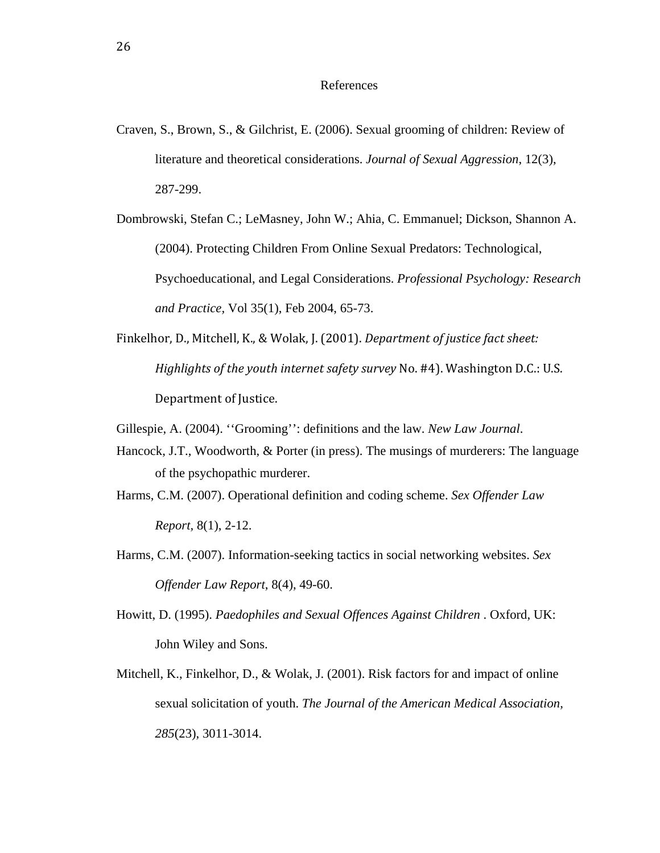### References

Craven, S., Brown, S., & Gilchrist, E. (2006). Sexual grooming of children: Review of literature and theoretical considerations. *Journal of Sexual Aggression*, 12(3), 287-299.

Dombrowski, Stefan C.; LeMasney, John W.; Ahia, C. Emmanuel; Dickson, Shannon A. (2004). Protecting Children From Online Sexual Predators: Technological, Psychoeducational, and Legal Considerations. *Professional Psychology: Research and Practice,* Vol 35(1), Feb 2004, 65-73.

Finkelhor, D., Mitchell, K., & Wolak, J. (2001). *Department of justice fact sheet: Highlights of the youth internet safety survey* No. #4). Washington D.C.: U.S. Department of Justice.

Gillespie, A. (2004). ''Grooming'': definitions and the law. *New Law Journal*.

- Hancock, J.T., Woodworth, & Porter (in press). The musings of murderers: The language of the psychopathic murderer.
- Harms, C.M. (2007). Operational definition and coding scheme. *Sex Offender Law Report,* 8(1), 2-12.
- Harms, C.M. (2007). Information-seeking tactics in social networking websites. *Sex Offender Law Report*, 8(4), 49-60.
- Howitt, D. (1995). *Paedophiles and Sexual Offences Against Children* . Oxford, UK: John Wiley and Sons.
- Mitchell, K., Finkelhor, D., & Wolak, J. (2001). Risk factors for and impact of online sexual solicitation of youth. *The Journal of the American Medical Association, 285*(23), 3011-3014.